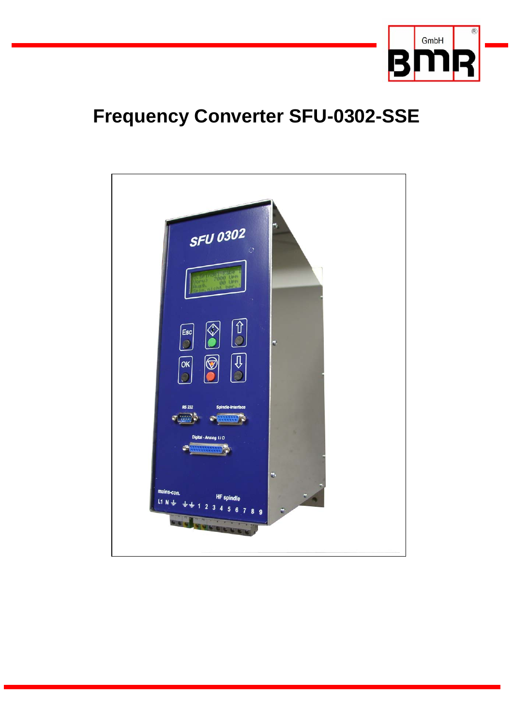

# **Frequency Converter SFU-0302-SSE**

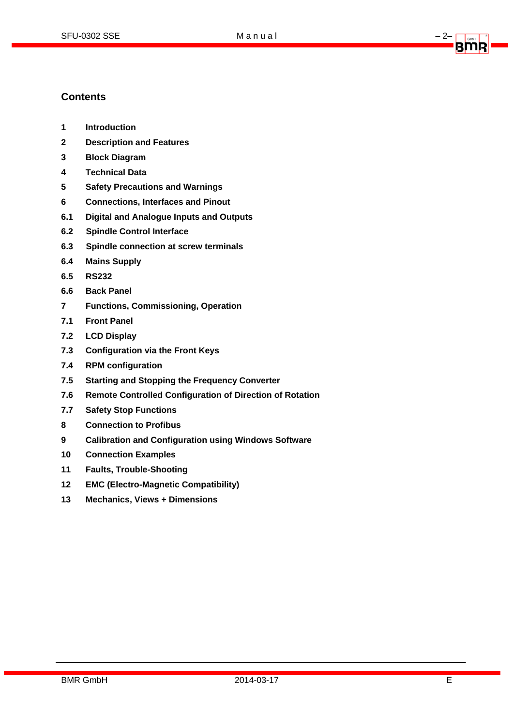#### **Contents**

- **1 Introduction**
- **2 Description and Features**
- **3 Block Diagram**
- **4 Technical Data**
- **5 Safety Precautions and Warnings**
- **6 Connections, Interfaces and Pinout**
- **6.1 Digital and Analogue Inputs and Outputs**
- **6.2 Spindle Control Interface**
- **6.3 Spindle connection at screw terminals**
- **6.4 Mains Supply**
- **6.5 RS232**
- **6.6 Back Panel**
- **7 Functions, Commissioning, Operation**
- **7.1 Front Panel**
- **7.2 LCD Display**
- **7.3 Configuration via the Front Keys**
- **7.4 RPM configuration**
- **7.5 Starting and Stopping the Frequency Converter**
- **7.6 Remote Controlled Configuration of Direction of Rotation**
- **7.7 Safety Stop Functions**
- **8 Connection to Profibus**
- **9 Calibration and Configuration using Windows Software**
- **10 Connection Examples**
- **11 Faults, Trouble-Shooting**
- **12 EMC (Electro-Magnetic Compatibility)**
- **13 Mechanics, Views + Dimensions**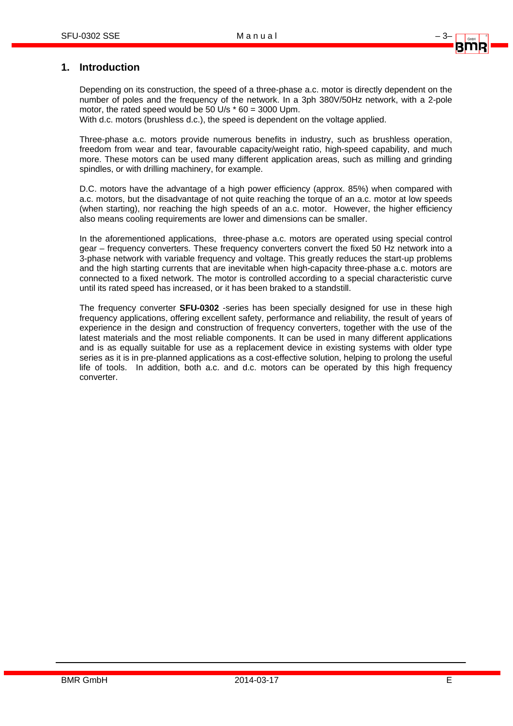Depending on its construction, the speed of a three-phase a.c. motor is directly dependent on the number of poles and the frequency of the network. In a 3ph 380V/50Hz network, with a 2-pole motor, the rated speed would be 50 U/s  $*$  60 = 3000 Upm.

With d.c. motors (brushless d.c.), the speed is dependent on the voltage applied.

 Three-phase a.c. motors provide numerous benefits in industry, such as brushless operation, freedom from wear and tear, favourable capacity/weight ratio, high-speed capability, and much more. These motors can be used many different application areas, such as milling and grinding spindles, or with drilling machinery, for example.

 D.C. motors have the advantage of a high power efficiency (approx. 85%) when compared with a.c. motors, but the disadvantage of not quite reaching the torque of an a.c. motor at low speeds (when starting), nor reaching the high speeds of an a.c. motor. However, the higher efficiency also means cooling requirements are lower and dimensions can be smaller.

 In the aforementioned applications, three-phase a.c. motors are operated using special control gear – frequency converters. These frequency converters convert the fixed 50 Hz network into a 3-phase network with variable frequency and voltage. This greatly reduces the start-up problems and the high starting currents that are inevitable when high-capacity three-phase a.c. motors are connected to a fixed network. The motor is controlled according to a special characteristic curve until its rated speed has increased, or it has been braked to a standstill.

 The frequency converter **SFU-0302** -series has been specially designed for use in these high frequency applications, offering excellent safety, performance and reliability, the result of years of experience in the design and construction of frequency converters, together with the use of the latest materials and the most reliable components. It can be used in many different applications and is as equally suitable for use as a replacement device in existing systems with older type series as it is in pre-planned applications as a cost-effective solution, helping to prolong the useful life of tools. In addition, both a.c. and d.c. motors can be operated by this high frequency converter.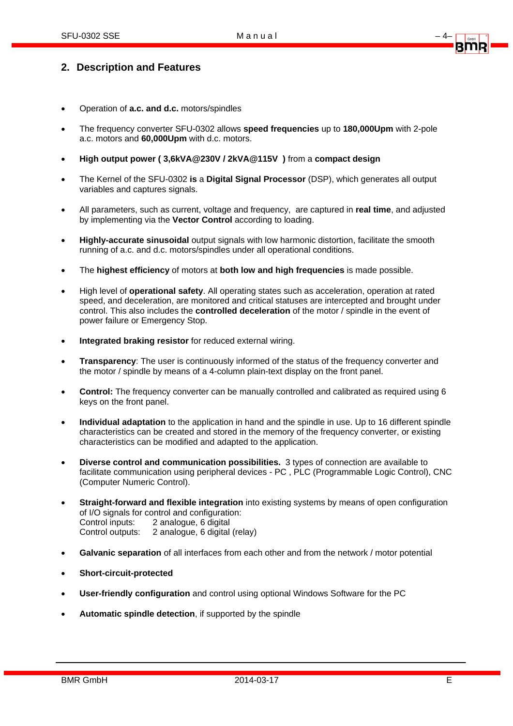#### **2. Description and Features**

- Operation of **a.c. and d.c.** motors/spindles
- The frequency converter SFU-0302 allows **speed frequencies** up to **180,000Upm** with 2-pole a.c. motors and **60,000Upm** with d.c. motors.
- **High output power ( 3,6kVA@230V / 2kVA@115V )** from a **compact design**
- The Kernel of the SFU-0302 **is** a **Digital Signal Processor** (DSP), which generates all output variables and captures signals.
- All parameters, such as current, voltage and frequency, are captured in **real time**, and adjusted by implementing via the **Vector Control** according to loading.
- **Highly-accurate sinusoidal** output signals with low harmonic distortion, facilitate the smooth running of a.c. and d.c. motors/spindles under all operational conditions.
- The **highest efficiency** of motors at **both low and high frequencies** is made possible.
- High level of **operational safety**. All operating states such as acceleration, operation at rated speed, and deceleration, are monitored and critical statuses are intercepted and brought under control. This also includes the **controlled deceleration** of the motor / spindle in the event of power failure or Emergency Stop.
- **Integrated braking resistor** for reduced external wiring.
- **Transparency**: The user is continuously informed of the status of the frequency converter and the motor / spindle by means of a 4-column plain-text display on the front panel.
- **Control:** The frequency converter can be manually controlled and calibrated as required using 6 keys on the front panel.
- **Individual adaptation** to the application in hand and the spindle in use. Up to 16 different spindle characteristics can be created and stored in the memory of the frequency converter, or existing characteristics can be modified and adapted to the application.
- **Diverse control and communication possibilities.** 3 types of connection are available to facilitate communication using peripheral devices - PC , PLC (Programmable Logic Control), CNC (Computer Numeric Control).
- **Straight-forward and flexible integration** into existing systems by means of open configuration of I/O signals for control and configuration: Control inputs: 2 analogue, 6 digital Control outputs: 2 analogue, 6 digital (relay)
- **Galvanic separation** of all interfaces from each other and from the network / motor potential
- **Short-circuit-protected**
- **User-friendly configuration** and control using optional Windows Software for the PC
- **Automatic spindle detection**, if supported by the spindle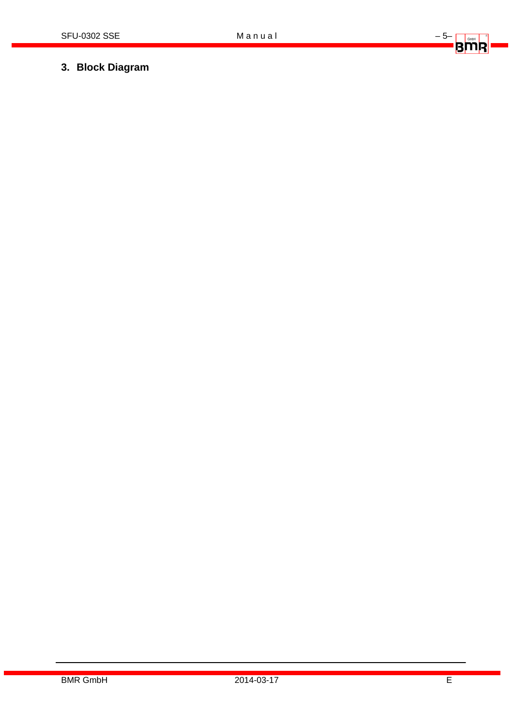# BMR

# **3. Block Diagram**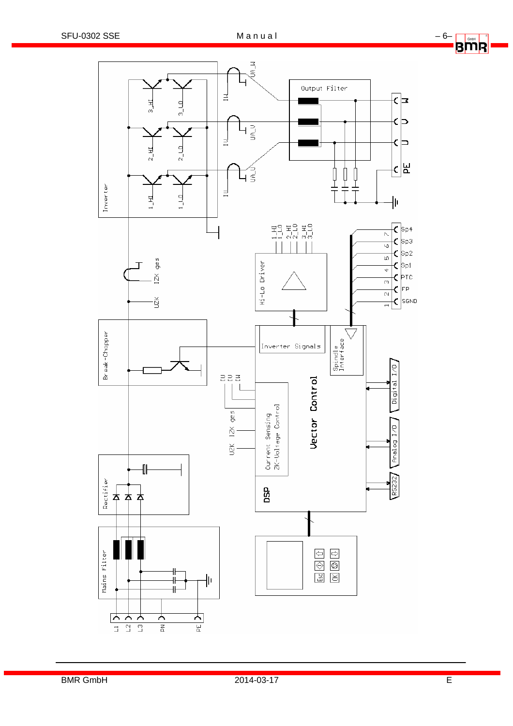

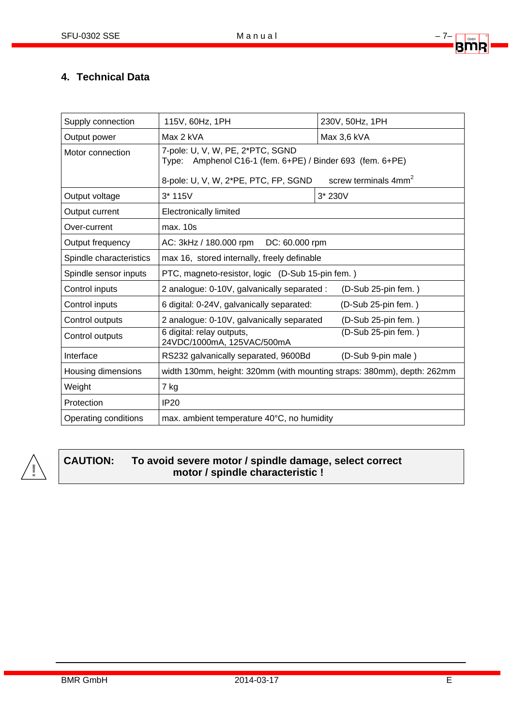

# **4. Technical Data**

| Supply connection       | 115V, 60Hz, 1PH                                                                               | 230V, 50Hz, 1PH        |  |  |
|-------------------------|-----------------------------------------------------------------------------------------------|------------------------|--|--|
| Output power            | Max 2 kVA                                                                                     | Max 3,6 kVA            |  |  |
| Motor connection        | 7-pole: U, V, W, PE, 2*PTC, SGND<br>Type: Amphenol C16-1 (fem. 6+PE) / Binder 693 (fem. 6+PE) |                        |  |  |
|                         | 8-pole: U, V, W, 2*PE, PTC, FP, SGND                                                          | screw terminals $4mm2$ |  |  |
| Output voltage          | 3* 115V                                                                                       | 3* 230V                |  |  |
| Output current          | <b>Electronically limited</b>                                                                 |                        |  |  |
| Over-current            | max. 10s                                                                                      |                        |  |  |
| Output frequency        | AC: 3kHz / 180.000 rpm                                                                        | DC: 60.000 rpm         |  |  |
| Spindle characteristics | max 16, stored internally, freely definable                                                   |                        |  |  |
| Spindle sensor inputs   | PTC, magneto-resistor, logic (D-Sub 15-pin fem.)                                              |                        |  |  |
| Control inputs          | 2 analogue: 0-10V, galvanically separated :<br>(D-Sub 25-pin fem.)                            |                        |  |  |
| Control inputs          | 6 digital: 0-24V, galvanically separated:<br>(D-Sub 25-pin fem.)                              |                        |  |  |
| Control outputs         | (D-Sub 25-pin fem.)<br>2 analogue: 0-10V, galvanically separated                              |                        |  |  |
| Control outputs         | (D-Sub 25-pin fem.)<br>6 digital: relay outputs,<br>24VDC/1000mA, 125VAC/500mA                |                        |  |  |
| Interface               | (D-Sub 9-pin male)<br>RS232 galvanically separated, 9600Bd                                    |                        |  |  |
| Housing dimensions      | width 130mm, height: 320mm (with mounting straps: 380mm), depth: 262mm                        |                        |  |  |
| Weight                  | 7 kg                                                                                          |                        |  |  |
| Protection              | <b>IP20</b>                                                                                   |                        |  |  |
| Operating conditions    | max. ambient temperature 40°C, no humidity                                                    |                        |  |  |



# **CAUTION: To avoid severe motor / spindle damage, select correct motor / spindle characteristic !**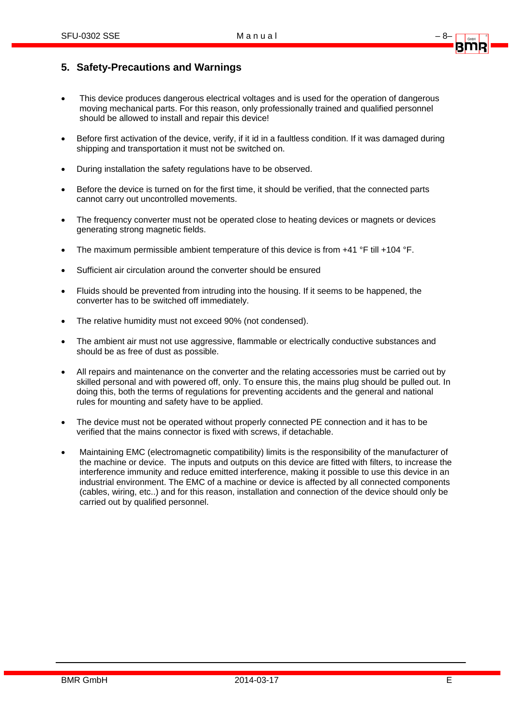### **5. Safety-Precautions and Warnings**

- This device produces dangerous electrical voltages and is used for the operation of dangerous moving mechanical parts. For this reason, only professionally trained and qualified personnel should be allowed to install and repair this device!
- Before first activation of the device, verify, if it id in a faultless condition. If it was damaged during shipping and transportation it must not be switched on.
- During installation the safety regulations have to be observed.
- Before the device is turned on for the first time, it should be verified, that the connected parts cannot carry out uncontrolled movements.
- The frequency converter must not be operated close to heating devices or magnets or devices generating strong magnetic fields.
- The maximum permissible ambient temperature of this device is from +41 °F till +104 °F.
- Sufficient air circulation around the converter should be ensured
- Fluids should be prevented from intruding into the housing. If it seems to be happened, the converter has to be switched off immediately.
- The relative humidity must not exceed 90% (not condensed).
- The ambient air must not use aggressive, flammable or electrically conductive substances and should be as free of dust as possible.
- All repairs and maintenance on the converter and the relating accessories must be carried out by skilled personal and with powered off, only. To ensure this, the mains plug should be pulled out. In doing this, both the terms of regulations for preventing accidents and the general and national rules for mounting and safety have to be applied.
- The device must not be operated without properly connected PE connection and it has to be verified that the mains connector is fixed with screws, if detachable.
- Maintaining EMC (electromagnetic compatibility) limits is the responsibility of the manufacturer of the machine or device. The inputs and outputs on this device are fitted with filters, to increase the interference immunity and reduce emitted interference, making it possible to use this device in an industrial environment. The EMC of a machine or device is affected by all connected components (cables, wiring, etc..) and for this reason, installation and connection of the device should only be carried out by qualified personnel.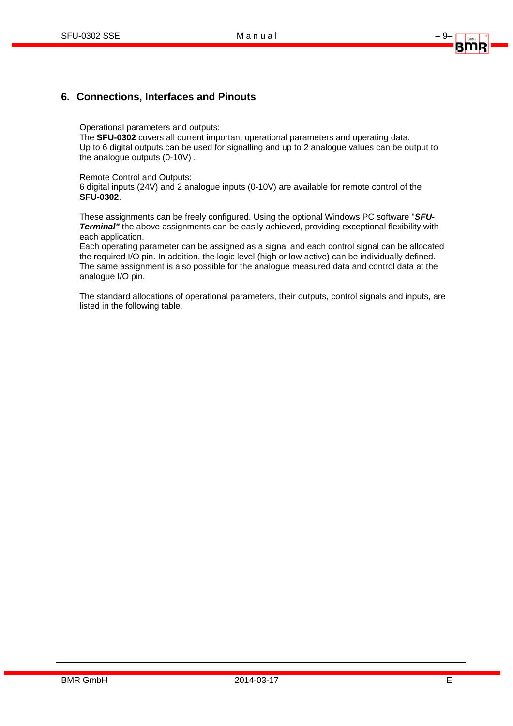### **6. Connections, Interfaces and Pinouts**

Operational parameters and outputs:

 The **SFU-0302** covers all current important operational parameters and operating data. Up to 6 digital outputs can be used for signalling and up to 2 analogue values can be output to the analogue outputs (0-10V) .

Remote Control and Outputs:

 6 digital inputs (24V) and 2 analogue inputs (0-10V) are available for remote control of the **SFU-0302**.

 These assignments can be freely configured. Using the optional Windows PC software "*SFU-Terminal"* the above assignments can be easily achieved, providing exceptional flexibility with each application.

 Each operating parameter can be assigned as a signal and each control signal can be allocated the required I/O pin. In addition, the logic level (high or low active) can be individually defined. The same assignment is also possible for the analogue measured data and control data at the analogue I/O pin.

 The standard allocations of operational parameters, their outputs, control signals and inputs, are listed in the following table.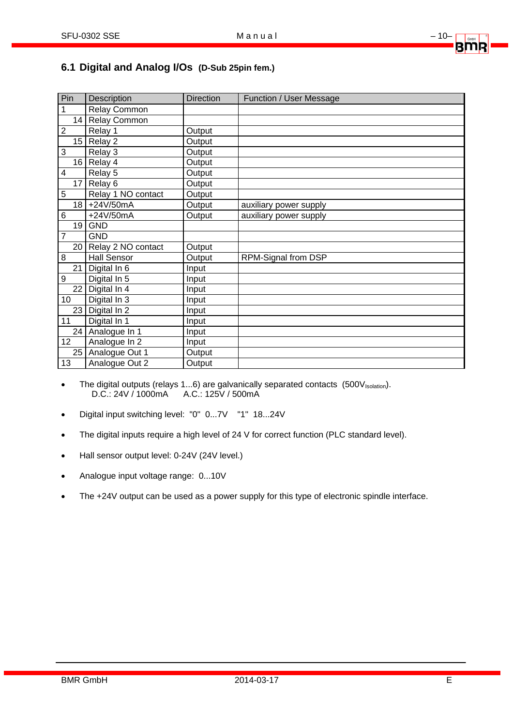

# **6.1 Digital and Analog I/Os (D-Sub 25pin fem.)**

| ı<br>Pin         | Description         | <b>Direction</b> | Function / User Message |
|------------------|---------------------|------------------|-------------------------|
| $\vert$ 1        | Relay Common        |                  |                         |
| 14               | <b>Relay Common</b> |                  |                         |
| $\overline{2}$   | Relay 1             | Output           |                         |
| 15               | Relay 2             | Output           |                         |
| $\overline{3}$   | Relay 3             | Output           |                         |
| 16               | Relay 4             | Output           |                         |
| $\overline{4}$   | Relay 5             | Output           |                         |
| 17               | Relay <sub>6</sub>  | Output           |                         |
| 5                | Relay 1 NO contact  | Output           |                         |
| 18 <sup>1</sup>  | +24V/50mA           | Output           | auxiliary power supply  |
| $6\phantom{1}6$  | +24V/50mA           | Output           | auxiliary power supply  |
| 19               | <b>GND</b>          |                  |                         |
| $\overline{7}$   | <b>GND</b>          |                  |                         |
| 20               | Relay 2 NO contact  | Output           |                         |
| 8                | <b>Hall Sensor</b>  | Output           | RPM-Signal from DSP     |
| 21               | Digital In 6        | Input            |                         |
| $\boldsymbol{9}$ | Digital In $5$      | Input            |                         |
| 22               | Digital In 4        | Input            |                         |
| 10               | Digital In 3        | Input            |                         |
| 23               | Digital In 2        | Input            |                         |
| 11               | Digital In 1        | Input            |                         |
| 24               | Analogue In 1       | Input            |                         |
| 12               | Analogue In 2       | Input            |                         |
| 25               | Analogue Out 1      | Output           |                         |
| 13               | Analogue Out 2      | Output           |                         |

The digital outputs (relays 1...6) are galvanically separated contacts  $(500V<sub>Isolation</sub>)$ .<br>D.C.: 24V / 1000mA  $A.C.: 125V/500mA$ D.C.: 24V / 1000mA

- Digital input switching level: "0" 0...7V "1" 18...24V
- The digital inputs require a high level of 24 V for correct function (PLC standard level).
- Hall sensor output level: 0-24V (24V level.)
- Analogue input voltage range: 0...10V
- The +24V output can be used as a power supply for this type of electronic spindle interface.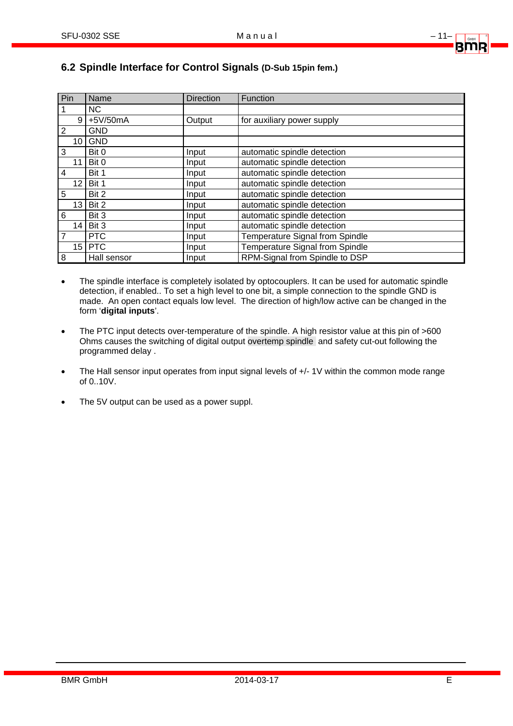

| Pin             | Name        | <b>Direction</b> | <b>Function</b>                 |
|-----------------|-------------|------------------|---------------------------------|
| $\vert$ 1       | <b>NC</b>   |                  |                                 |
| 9               | +5V/50mA    | Output           | for auxiliary power supply      |
| $\overline{2}$  | <b>GND</b>  |                  |                                 |
| 10 <sub>l</sub> | <b>GND</b>  |                  |                                 |
| 3               | Bit 0       | Input            | automatic spindle detection     |
| 11              | Bit 0       | Input            | automatic spindle detection     |
| $\overline{4}$  | Bit 1       | Input            | automatic spindle detection     |
| 12 <sub>1</sub> | Bit 1       | Input            | automatic spindle detection     |
| 5               | Bit 2       | Input            | automatic spindle detection     |
| 13 <sup>1</sup> | Bit 2       | Input            | automatic spindle detection     |
| 6               | Bit 3       | Input            | automatic spindle detection     |
| 14 <sub>1</sub> | Bit 3       | Input            | automatic spindle detection     |
| $\overline{7}$  | <b>PTC</b>  | Input            | Temperature Signal from Spindle |
|                 | $15$ PTC    | Input            | Temperature Signal from Spindle |
| 8               | Hall sensor | Input            | RPM-Signal from Spindle to DSP  |

# **6.2 Spindle Interface for Control Signals (D-Sub 15pin fem.)**

- The spindle interface is completely isolated by optocouplers. It can be used for automatic spindle detection, if enabled.. To set a high level to one bit, a simple connection to the spindle GND is made. An open contact equals low level. The direction of high/low active can be changed in the form '**digital inputs**'.
- The PTC input detects over-temperature of the spindle. A high resistor value at this pin of >600 Ohms causes the switching of digital output overtemp spindle and safety cut-out following the programmed delay .
- The Hall sensor input operates from input signal levels of  $+/-1V$  within the common mode range of 0..10V.
- The 5V output can be used as a power suppl.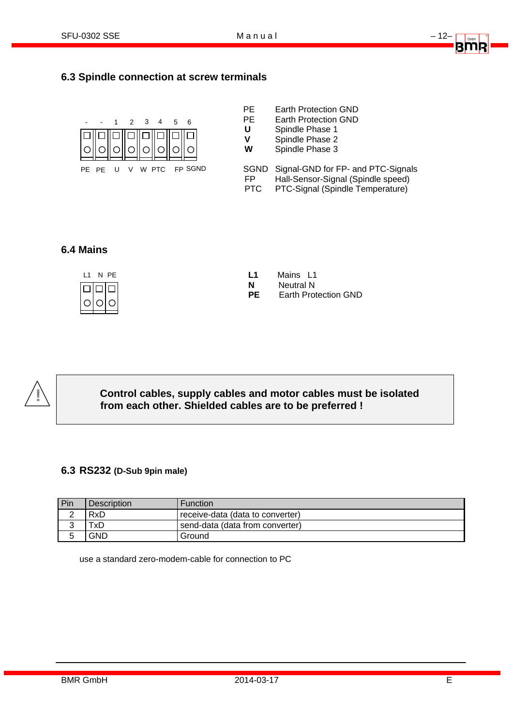# **6.3 Spindle connection at screw terminals**



| $- 1$ 2 3 4 5 6                       | PE.<br>PE.<br>U<br>٧<br>W | Earth Protection GND<br>Earth Protection GND<br>Spindle Phase 1<br>Spindle Phase 2<br>Spindle Phase 3 |
|---------------------------------------|---------------------------|-------------------------------------------------------------------------------------------------------|
| FP SGND<br>V W PTC<br>$\Box$<br>PF PF | FP.                       | SGND Signal-GND for FP- and PTC-Signals<br>Hall-Sensor-Signal (Spindle speed)                         |

|  | PTC PTC-Signal (Spindle Temperature) |  |
|--|--------------------------------------|--|

#### **6.4 Mains**



| L1        | Mains L1                    |
|-----------|-----------------------------|
| N         | <b>Neutral N</b>            |
| <b>PE</b> | <b>Earth Protection GND</b> |



# **Control cables, supply cables and motor cables must be isolated from each other. Shielded cables are to be preferred !**

### **6.3 RS232 (D-Sub 9pin male)**

| Pin | <b>Description</b> | <b>Function</b>                  |
|-----|--------------------|----------------------------------|
|     | RxD                | receive-data (data to converter) |
| ບ   | TxC                | send-data (data from converter)  |
|     | GND                | Ground                           |

use a standard zero-modem-cable for connection to PC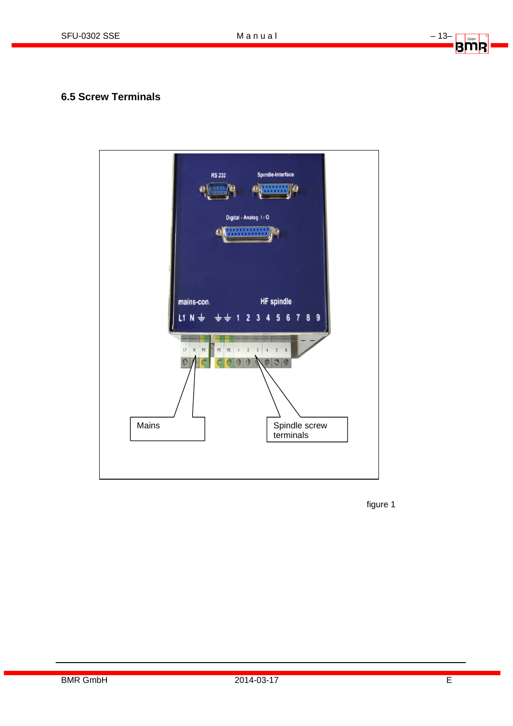# **6.5 Screw Terminals**



figure 1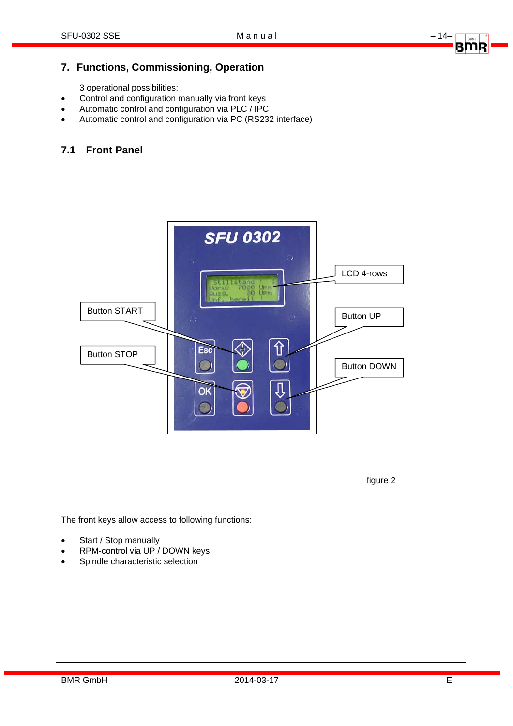

# **7. Functions, Commissioning, Operation**

3 operational possibilities:

- Control and configuration manually via front keys
- Automatic control and configuration via PLC / IPC
- Automatic control and configuration via PC (RS232 interface)

# **7.1 Front Panel**



figure 2 and 2 and 2 and 2 and 2 and 2 and 2 and 2 and 2 and 2 and 2 and 2 and 2 and 2 and 2 and 2 and 2 and 2

The front keys allow access to following functions:

- Start / Stop manually
- RPM-control via UP / DOWN keys
- Spindle characteristic selection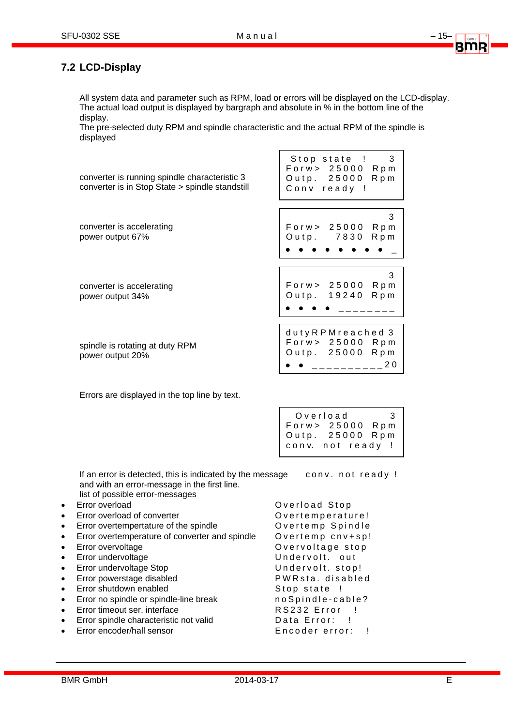# **7.2 LCD-Display**

All system data and parameter such as RPM, load or errors will be displayed on the LCD-display. The actual load output is displayed by bargraph and absolute in % in the bottom line of the display.

The pre-selected duty RPM and spindle characteristic and the actual RPM of the spindle is displayed

| converter is running spindle characteristic 3<br>converter is in Stop State > spindle standstill                            | Stop state !<br>3<br>Forw> 25000 Rpm<br>Outp. 25000 Rpm<br>Conv ready !  |
|-----------------------------------------------------------------------------------------------------------------------------|--------------------------------------------------------------------------|
| converter is accelerating<br>power output 67%                                                                               | 3<br>Forw> 25000<br>Rpm<br>Outp. 7830 Rpm                                |
| converter is accelerating<br>power output 34%                                                                               | 3<br>Forw> 25000 Rpm<br>Outp. 19240 Rpm                                  |
| spindle is rotating at duty RPM<br>power output 20%                                                                         | duty RPM reached 3<br>Forw> 25000 Rpm<br>Outp. 25000 Rpm<br>20           |
| Errors are displayed in the top line by text.                                                                               |                                                                          |
|                                                                                                                             | Overload<br>3<br>Forw> 25000 Rpm<br>Outp. 25000 Rpm<br>conv. not ready ! |
| If an error is detected, this is indicated by the message conv. not ready !<br>and with an error-message in the first line. |                                                                          |
| list of possible error-messages<br>Error overload                                                                           |                                                                          |
| Error overload of converter                                                                                                 | Overload Stop<br>Overtemperature!                                        |
| Error overtempertature of the spindle                                                                                       | Overtemp Spindle                                                         |
| Error overtemperature of converter and spindle                                                                              | Overtemp cnv+sp!                                                         |
| Error overvoltage<br>$\bullet$                                                                                              | Overvoltage stop                                                         |
| Error undervoltage                                                                                                          | Undervolt. out                                                           |
| Error undervoltage Stop<br>Error powerstage disabled                                                                        | Undervolt. stop!<br>PWRsta. disabled                                     |
| Error shutdown enabled                                                                                                      | Stop state                                                               |
| Error no spindle or spindle-line break                                                                                      | noSpindle-cable?                                                         |
| Error timeout ser. interface                                                                                                | RS232 Error<br>- 1                                                       |
| Error spindle characteristic not valid                                                                                      | Data Error:                                                              |

• Error encoder/hall sensor **Encoder error**: !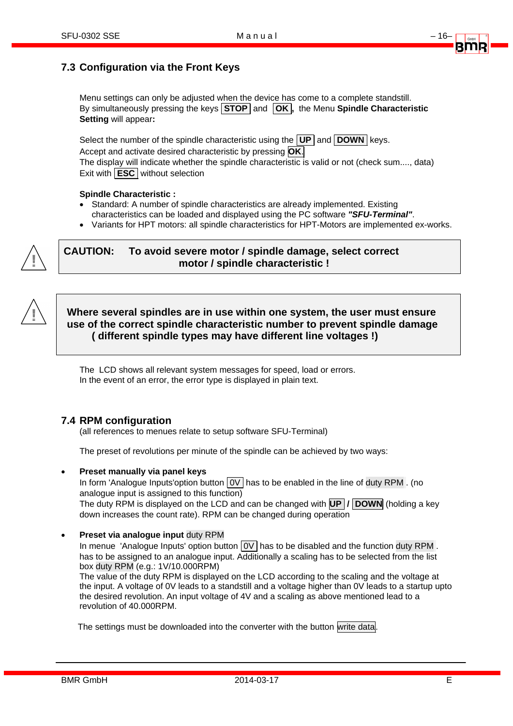# **7.3 Configuration via the Front Keys**

Menu settings can only be adjusted when the device has come to a complete standstill. By simultaneously pressing the keys **STOP** and **OK ,** the Menu **Spindle Characteristic Setting** will appear**:** 

Select the number of the spindle characteristic using the **UP** and **DOWN** keys. Accept and activate desired characteristic by pressing **OK**.

The display will indicate whether the spindle characteristic is valid or not (check sum...., data) Exit with **ESC** without selection

#### **Spindle Characteristic :**

- Standard: A number of spindle characteristics are already implemented. Existing characteristics can be loaded and displayed using the PC software *"SFU-Terminal"*.
- Variants for HPT motors: all spindle characteristics for HPT-Motors are implemented ex-works.



### **CAUTION: To avoid severe motor / spindle damage, select correct motor / spindle characteristic !**



 **Where several spindles are in use within one system, the user must ensure use of the correct spindle characteristic number to prevent spindle damage ( different spindle types may have different line voltages !)** 

The LCD shows all relevant system messages for speed, load or errors. In the event of an error, the error type is displayed in plain text.

#### **7.4 RPM configuration**

(all references to menues relate to setup software SFU-Terminal)

The preset of revolutions per minute of the spindle can be achieved by two ways:

#### • **Preset manually via panel keys**

In form 'Analogue Inputs'option button  $\overline{O}V$  has to be enabled in the line of duty RPM . (no analogue input is assigned to this function) The duty RPM is displayed on the LCD and can be changed with **UP / DOWN** (holding a key down increases the count rate). RPM can be changed during operation

#### **Preset via analogue input duty RPM**

In menue 'Analogue Inputs' option button  $\boxed{0V}$  has to be disabled and the function duty RPM. has to be assigned to an analogue input. Additionally a scaling has to be selected from the list box duty RPM (e.g.: 1V/10.000RPM)

The value of the duty RPM is displayed on the LCD according to the scaling and the voltage at the input. A voltage of 0V leads to a standstill and a voltage higher than 0V leads to a startup upto the desired revolution. An input voltage of 4V and a scaling as above mentioned lead to a revolution of 40.000RPM.

The settings must be downloaded into the converter with the button write data.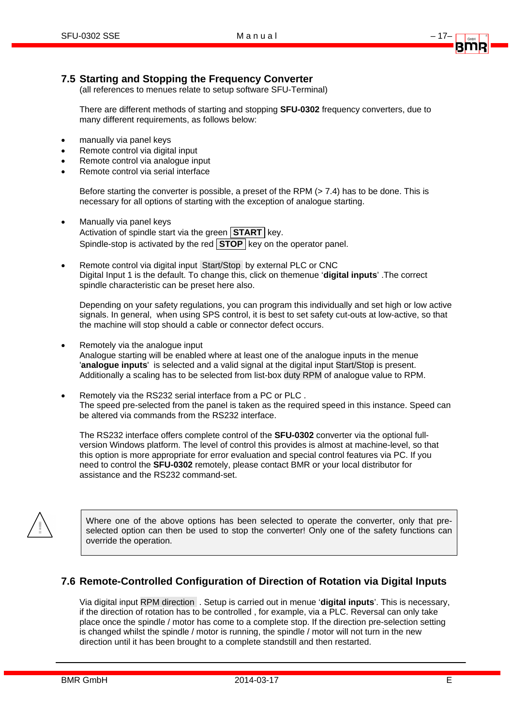#### **7.5 Starting and Stopping the Frequency Converter**

(all references to menues relate to setup software SFU-Terminal)

There are different methods of starting and stopping **SFU-0302** frequency converters, due to many different requirements, as follows below:

- manually via panel keys
- Remote control via digital input
- Remote control via analogue input
- Remote control via serial interface

Before starting the converter is possible, a preset of the RPM (> 7.4) has to be done. This is necessary for all options of starting with the exception of analogue starting.

- Manually via panel keys Activation of spindle start via the green **START** key. Spindle-stop is activated by the red **STOP** key on the operator panel.
- Remote control via digital input Start/Stop by external PLC or CNC Digital Input 1 is the default. To change this, click on themenue '**digital inputs**' .The correct spindle characteristic can be preset here also.

Depending on your safety regulations, you can program this individually and set high or low active signals. In general, when using SPS control, it is best to set safety cut-outs at low-active, so that the machine will stop should a cable or connector defect occurs.

- Remotely via the analogue input Analogue starting will be enabled where at least one of the analogue inputs in the menue '**analogue inputs**' is selected and a valid signal at the digital input Start/Stop is present. Additionally a scaling has to be selected from list-box duty RPM of analogue value to RPM.
- Remotely via the RS232 serial interface from a PC or PLC . The speed pre-selected from the panel is taken as the required speed in this instance. Speed can be altered via commands from the RS232 interface.

The RS232 interface offers complete control of the **SFU-0302** converter via the optional fullversion Windows platform. The level of control this provides is almost at machine-level, so that this option is more appropriate for error evaluation and special control features via PC. If you need to control the **SFU-0302** remotely, please contact BMR or your local distributor for assistance and the RS232 command-set.



Where one of the above options has been selected to operate the converter, only that preselected option can then be used to stop the converter! Only one of the safety functions can override the operation.

#### **7.6 Remote-Controlled Configuration of Direction of Rotation via Digital Inputs**

Via digital input RPM direction . Setup is carried out in menue '**digital inputs**'. This is necessary, if the direction of rotation has to be controlled , for example, via a PLC. Reversal can only take place once the spindle / motor has come to a complete stop. If the direction pre-selection setting is changed whilst the spindle / motor is running, the spindle / motor will not turn in the new direction until it has been brought to a complete standstill and then restarted.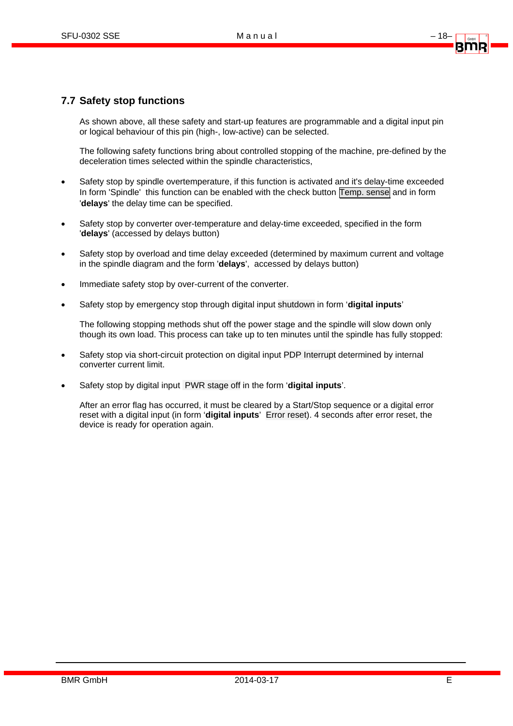# **7.7 Safety stop functions**

 As shown above, all these safety and start-up features are programmable and a digital input pin or logical behaviour of this pin (high-, low-active) can be selected.

The following safety functions bring about controlled stopping of the machine, pre-defined by the deceleration times selected within the spindle characteristics,

- Safety stop by spindle overtemperature, if this function is activated and it's delay-time exceeded In form 'Spindle' this function can be enabled with the check button Temp. sense and in form '**delays**' the delay time can be specified.
- Safety stop by converter over-temperature and delay-time exceeded, specified in the form '**delays**' (accessed by delays button)
- Safety stop by overload and time delay exceeded (determined by maximum current and voltage in the spindle diagram and the form '**delays**', accessed by delays button)
- Immediate safety stop by over-current of the converter.
- Safety stop by emergency stop through digital input shutdown in form '**digital inputs**'

 The following stopping methods shut off the power stage and the spindle will slow down only though its own load. This process can take up to ten minutes until the spindle has fully stopped:

- Safety stop via short-circuit protection on digital input PDP Interrupt determined by internal converter current limit.
- Safety stop by digital input PWR stage off in the form '**digital inputs**'.

 After an error flag has occurred, it must be cleared by a Start/Stop sequence or a digital error reset with a digital input (in form '**digital inputs**' Error reset). 4 seconds after error reset, the device is ready for operation again.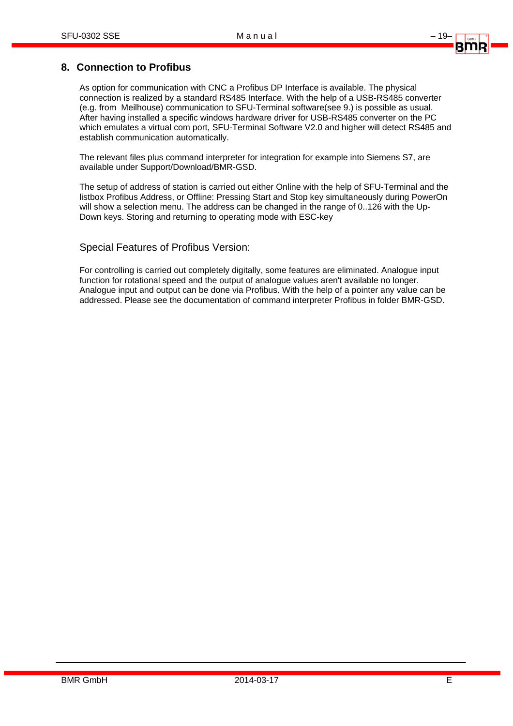### **8. Connection to Profibus**

As option for communication with CNC a Profibus DP Interface is available. The physical connection is realized by a standard RS485 Interface. With the help of a USB-RS485 converter (e.g. from Meilhouse) communication to SFU-Terminal software(see 9.) is possible as usual. After having installed a specific windows hardware driver for USB-RS485 converter on the PC which emulates a virtual com port, SFU-Terminal Software V2.0 and higher will detect RS485 and establish communication automatically.

The relevant files plus command interpreter for integration for example into Siemens S7, are available under Support/Download/BMR-GSD.

The setup of address of station is carried out either Online with the help of SFU-Terminal and the listbox Profibus Address, or Offline: Pressing Start and Stop key simultaneously during PowerOn will show a selection menu. The address can be changed in the range of 0..126 with the Up-Down keys. Storing and returning to operating mode with ESC-key

#### Special Features of Profibus Version:

For controlling is carried out completely digitally, some features are eliminated. Analogue input function for rotational speed and the output of analogue values aren't available no longer. Analogue input and output can be done via Profibus. With the help of a pointer any value can be addressed. Please see the documentation of command interpreter Profibus in folder BMR-GSD.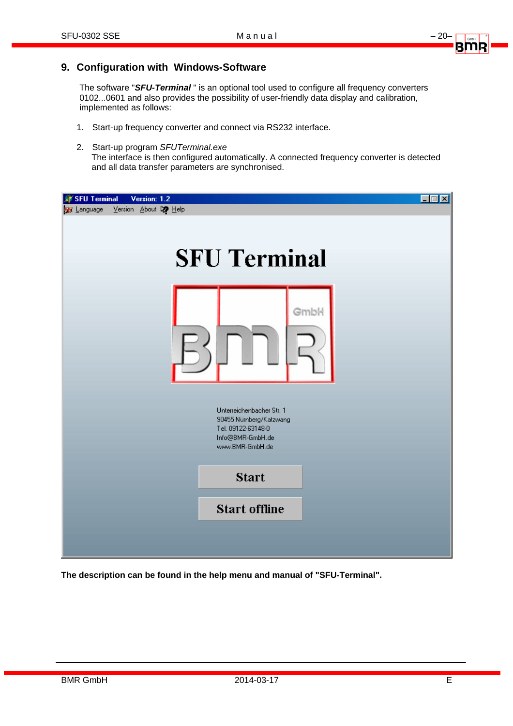# **9. Configuration with Windows-Software**

The software "*SFU-Terminal* " is an optional tool used to configure all frequency converters 0102...0601 and also provides the possibility of user-friendly data display and calibration, implemented as follows:

- 1. Start-up frequency converter and connect via RS232 interface.
- 2. Start-up program *SFUTerminal.exe* The interface is then configured automatically. A connected frequency converter is detected and all data transfer parameters are synchronised.

| <b>SFU Terminal</b><br>Version: 1.2<br>Version About LP Help<br><b>Ex Language</b> |                                                           | 口回风  |
|------------------------------------------------------------------------------------|-----------------------------------------------------------|------|
|                                                                                    |                                                           |      |
|                                                                                    |                                                           |      |
|                                                                                    | <b>SFU Terminal</b>                                       |      |
|                                                                                    | Unterreichenbacher Str. 1<br>90455 Nümberg/Katzwang       | GmbH |
|                                                                                    | Tel. 09122-63148-0<br>Info@BMR-GmbH.de<br>www.BMR-GmbH.de |      |
|                                                                                    |                                                           |      |
|                                                                                    | <b>Start</b>                                              |      |
|                                                                                    | <b>Start offline</b>                                      |      |
|                                                                                    |                                                           |      |
|                                                                                    |                                                           |      |

**The description can be found in the help menu and manual of "SFU-Terminal".**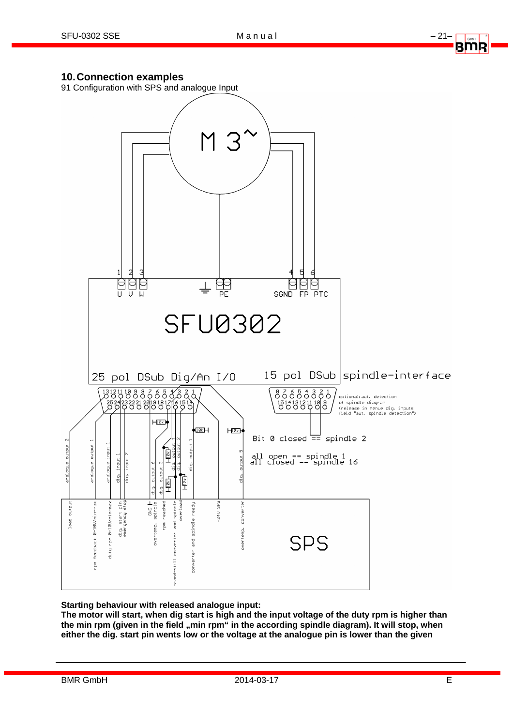RMR

#### **10. Connection examples**

91 Configuration with SPS and analogue Input



**Starting behaviour with released analogue input:** 

**The motor will start, when dig start is high and the input voltage of the duty rpm is higher than**  the min rpm (given in the field "min rpm" in the according spindle diagram). It will stop, when **either the dig. start pin wents low or the voltage at the analogue pin is lower than the given**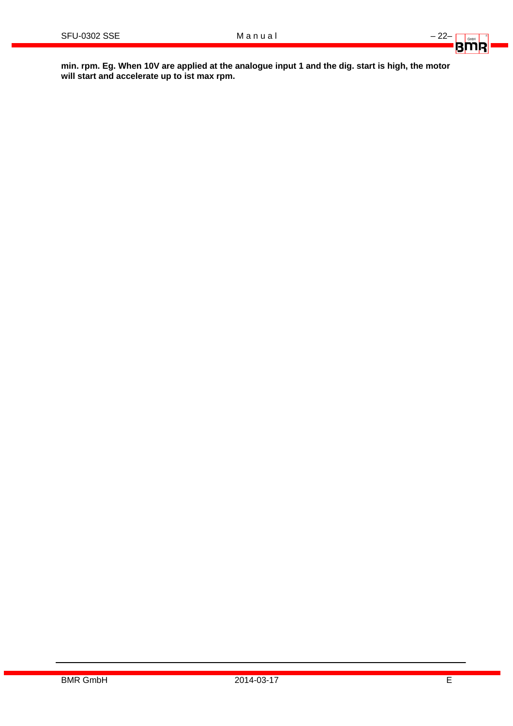**min. rpm. Eg. When 10V are applied at the analogue input 1 and the dig. start is high, the motor will start and accelerate up to ist max rpm.**

BMR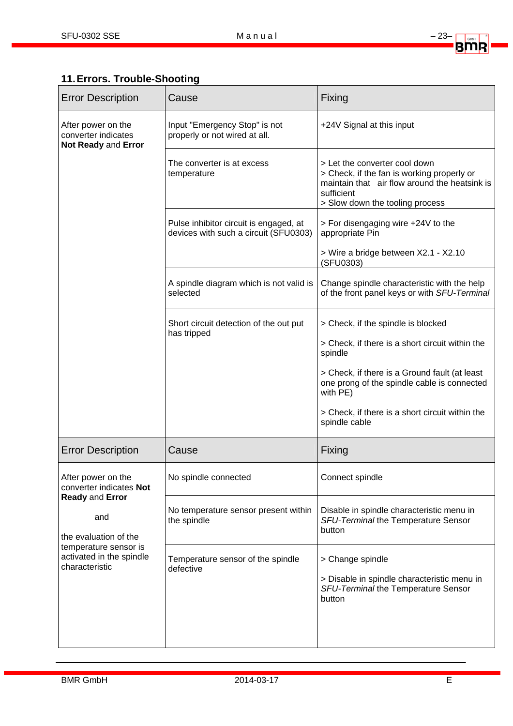

# **11. Errors. Trouble-Shooting**

| <b>Error Description</b>                                            | Cause                                                                           | Fixing                                                                                                                                                                        |
|---------------------------------------------------------------------|---------------------------------------------------------------------------------|-------------------------------------------------------------------------------------------------------------------------------------------------------------------------------|
| After power on the<br>converter indicates<br>Not Ready and Error    | Input "Emergency Stop" is not<br>properly or not wired at all.                  | +24V Signal at this input                                                                                                                                                     |
|                                                                     | The converter is at excess<br>temperature                                       | > Let the converter cool down<br>> Check, if the fan is working properly or<br>maintain that air flow around the heatsink is<br>sufficient<br>> Slow down the tooling process |
|                                                                     | Pulse inhibitor circuit is engaged, at<br>devices with such a circuit (SFU0303) | > For disengaging wire +24V to the<br>appropriate Pin                                                                                                                         |
|                                                                     |                                                                                 | > Wire a bridge between X2.1 - X2.10<br>(SFU0303)                                                                                                                             |
|                                                                     | A spindle diagram which is not valid is<br>selected                             | Change spindle characteristic with the help<br>of the front panel keys or with SFU-Terminal                                                                                   |
|                                                                     | Short circuit detection of the out put<br>has tripped                           | > Check, if the spindle is blocked<br>> Check, if there is a short circuit within the<br>spindle                                                                              |
|                                                                     |                                                                                 | > Check, if there is a Ground fault (at least<br>one prong of the spindle cable is connected<br>with PE)                                                                      |
|                                                                     |                                                                                 | > Check, if there is a short circuit within the<br>spindle cable                                                                                                              |
| <b>Error Description</b>                                            | Cause                                                                           | Fixing                                                                                                                                                                        |
| After power on the<br>converter indicates Not                       | No spindle connected                                                            | Connect spindle                                                                                                                                                               |
| Ready and Error<br>and<br>the evaluation of the                     | No temperature sensor present within<br>the spindle                             | Disable in spindle characteristic menu in<br>SFU-Terminal the Temperature Sensor<br>button                                                                                    |
| temperature sensor is<br>activated in the spindle<br>characteristic | Temperature sensor of the spindle<br>defective                                  | > Change spindle<br>> Disable in spindle characteristic menu in<br>SFU-Terminal the Temperature Sensor<br>button                                                              |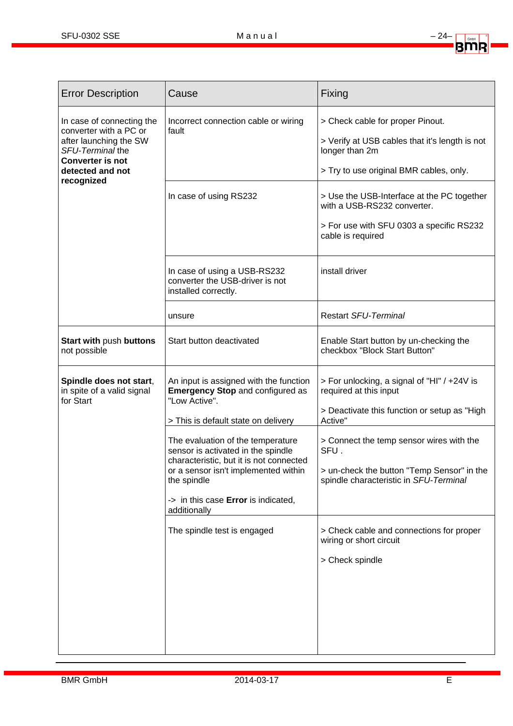

| <b>Error Description</b>                                                                                                                                       | Cause                                                                                                              | Fixing                                                                                                                                          |
|----------------------------------------------------------------------------------------------------------------------------------------------------------------|--------------------------------------------------------------------------------------------------------------------|-------------------------------------------------------------------------------------------------------------------------------------------------|
| In case of connecting the<br>converter with a PC or<br>after launching the SW<br>SFU-Terminal the<br><b>Converter is not</b><br>detected and not<br>recognized | Incorrect connection cable or wiring<br>fault                                                                      | > Check cable for proper Pinout.<br>> Verify at USB cables that it's length is not<br>longer than 2m<br>> Try to use original BMR cables, only. |
|                                                                                                                                                                | In case of using RS232                                                                                             | > Use the USB-Interface at the PC together<br>with a USB-RS232 converter.<br>> For use with SFU 0303 a specific RS232<br>cable is required      |
|                                                                                                                                                                | In case of using a USB-RS232<br>converter the USB-driver is not<br>installed correctly.                            | install driver                                                                                                                                  |
|                                                                                                                                                                | unsure                                                                                                             | <b>Restart SFU-Terminal</b>                                                                                                                     |
| <b>Start with push buttons</b><br>not possible                                                                                                                 | Start button deactivated                                                                                           | Enable Start button by un-checking the<br>checkbox "Block Start Button"                                                                         |
| Spindle does not start,<br>in spite of a valid signal<br>for Start                                                                                             | An input is assigned with the function<br><b>Emergency Stop and configured as</b><br>"Low Active".                 | > For unlocking, a signal of "HI" / +24V is<br>required at this input<br>> Deactivate this function or setup as "High                           |
|                                                                                                                                                                | > This is default state on delivery                                                                                | Active"                                                                                                                                         |
|                                                                                                                                                                | The evaluation of the temperature<br>sensor is activated in the spindle<br>characteristic, but it is not connected | > Connect the temp sensor wires with the<br>SFU.                                                                                                |
|                                                                                                                                                                | or a sensor isn't implemented within<br>the spindle                                                                | > un-check the button "Temp Sensor" in the<br>spindle characteristic in SFU-Terminal                                                            |
|                                                                                                                                                                | -> in this case Error is indicated,<br>additionally                                                                |                                                                                                                                                 |
|                                                                                                                                                                | The spindle test is engaged                                                                                        | > Check cable and connections for proper<br>wiring or short circuit                                                                             |
|                                                                                                                                                                |                                                                                                                    | > Check spindle                                                                                                                                 |
|                                                                                                                                                                |                                                                                                                    |                                                                                                                                                 |
|                                                                                                                                                                |                                                                                                                    |                                                                                                                                                 |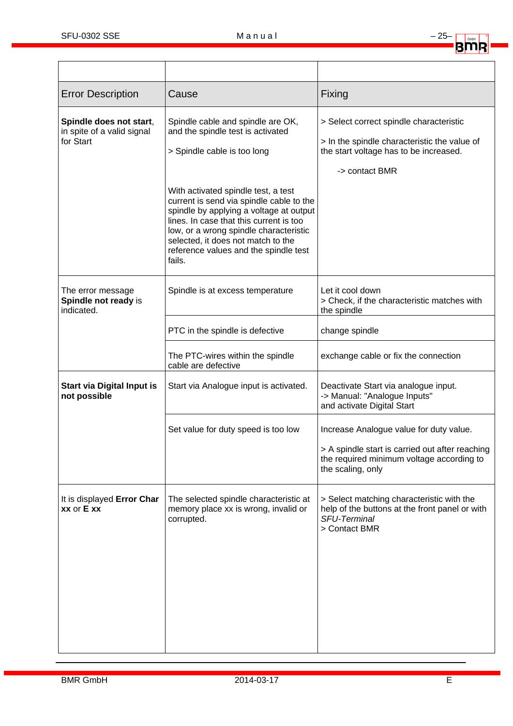SFU-0302 SSE Manual – 25– **BDDR** 

| <b>Error Description</b>                                           | Cause                                                                                                                                                                                                                                                                                                    | Fixing                                                                                                                                                       |
|--------------------------------------------------------------------|----------------------------------------------------------------------------------------------------------------------------------------------------------------------------------------------------------------------------------------------------------------------------------------------------------|--------------------------------------------------------------------------------------------------------------------------------------------------------------|
| Spindle does not start,<br>in spite of a valid signal<br>for Start | Spindle cable and spindle are OK,<br>and the spindle test is activated<br>> Spindle cable is too long                                                                                                                                                                                                    | > Select correct spindle characteristic<br>> In the spindle characteristic the value of<br>the start voltage has to be increased.<br>-> contact BMR          |
|                                                                    | With activated spindle test, a test<br>current is send via spindle cable to the<br>spindle by applying a voltage at output<br>lines. In case that this current is too<br>low, or a wrong spindle characteristic<br>selected, it does not match to the<br>reference values and the spindle test<br>fails. |                                                                                                                                                              |
| The error message<br>Spindle not ready is<br>indicated.            | Spindle is at excess temperature                                                                                                                                                                                                                                                                         | Let it cool down<br>> Check, if the characteristic matches with<br>the spindle                                                                               |
|                                                                    | PTC in the spindle is defective                                                                                                                                                                                                                                                                          | change spindle                                                                                                                                               |
|                                                                    | The PTC-wires within the spindle<br>cable are defective                                                                                                                                                                                                                                                  | exchange cable or fix the connection                                                                                                                         |
| <b>Start via Digital Input is</b><br>not possible                  | Start via Analogue input is activated.                                                                                                                                                                                                                                                                   | Deactivate Start via analogue input.<br>-> Manual: "Analogue Inputs"<br>and activate Digital Start                                                           |
|                                                                    | Set value for duty speed is too low                                                                                                                                                                                                                                                                      | Increase Analogue value for duty value.<br>> A spindle start is carried out after reaching<br>the required minimum voltage according to<br>the scaling, only |
| It is displayed Error Char<br><b>xx</b> or <b>E</b> xx             | The selected spindle characteristic at<br>memory place xx is wrong, invalid or<br>corrupted.                                                                                                                                                                                                             | > Select matching characteristic with the<br>help of the buttons at the front panel or with<br><b>SFU-Terminal</b><br>> Contact BMR                          |

 $\overline{\phantom{0}}$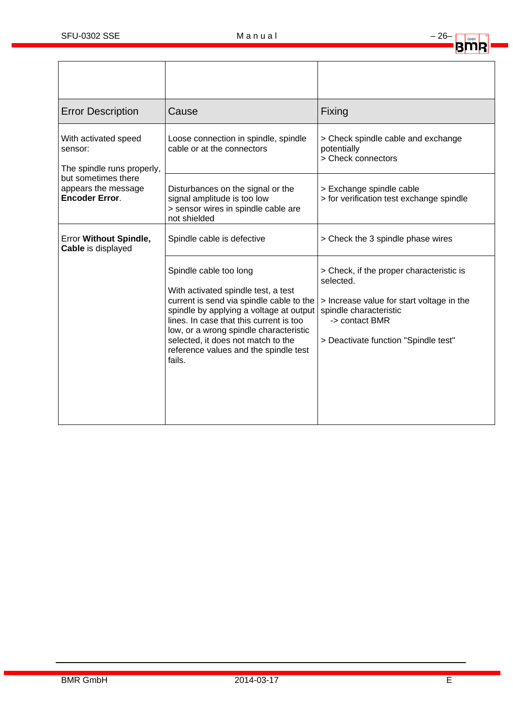| <b>Error Description</b>                                                                                                             | Cause                                                                                                                                                                                                                                                                                                                              | Fixing                                                                                                                                                                                 |
|--------------------------------------------------------------------------------------------------------------------------------------|------------------------------------------------------------------------------------------------------------------------------------------------------------------------------------------------------------------------------------------------------------------------------------------------------------------------------------|----------------------------------------------------------------------------------------------------------------------------------------------------------------------------------------|
| With activated speed<br>sensor:<br>The spindle runs properly,<br>but sometimes there<br>appears the message<br><b>Encoder Error.</b> | Loose connection in spindle, spindle<br>cable or at the connectors                                                                                                                                                                                                                                                                 | > Check spindle cable and exchange<br>potentially<br>> Check connectors                                                                                                                |
|                                                                                                                                      | Disturbances on the signal or the<br>signal amplitude is too low<br>> sensor wires in spindle cable are<br>not shielded                                                                                                                                                                                                            | > Exchange spindle cable<br>> for verification test exchange spindle                                                                                                                   |
| <b>Error Without Spindle,</b><br>Cable is displayed                                                                                  | Spindle cable is defective                                                                                                                                                                                                                                                                                                         | > Check the 3 spindle phase wires                                                                                                                                                      |
|                                                                                                                                      | Spindle cable too long<br>With activated spindle test, a test<br>current is send via spindle cable to the<br>spindle by applying a voltage at output<br>lines. In case that this current is too<br>low, or a wrong spindle characteristic<br>selected, it does not match to the<br>reference values and the spindle test<br>fails. | > Check, if the proper characteristic is<br>selected.<br>> Increase value for start voltage in the<br>spindle characteristic<br>-> contact BMR<br>> Deactivate function "Spindle test" |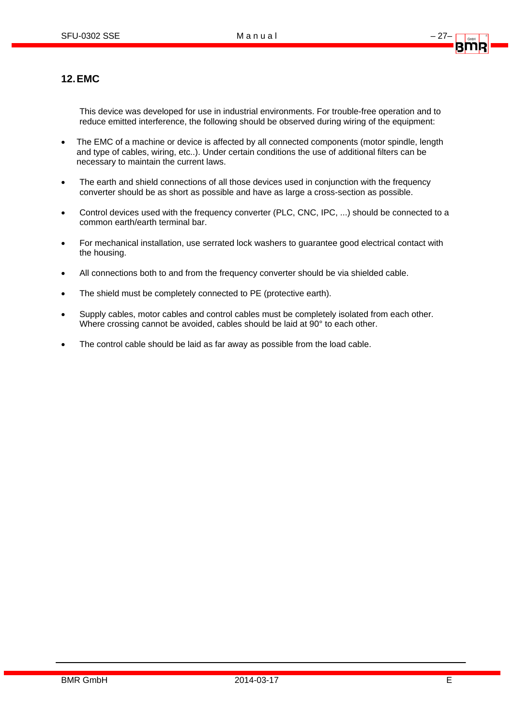#### **12. EMC**

 This device was developed for use in industrial environments. For trouble-free operation and to reduce emitted interference, the following should be observed during wiring of the equipment:

- The EMC of a machine or device is affected by all connected components (motor spindle, length and type of cables, wiring, etc..). Under certain conditions the use of additional filters can be necessary to maintain the current laws.
- The earth and shield connections of all those devices used in conjunction with the frequency converter should be as short as possible and have as large a cross-section as possible.
- Control devices used with the frequency converter (PLC, CNC, IPC, ...) should be connected to a common earth/earth terminal bar.
- For mechanical installation, use serrated lock washers to guarantee good electrical contact with the housing.
- All connections both to and from the frequency converter should be via shielded cable.
- The shield must be completely connected to PE (protective earth).
- Supply cables, motor cables and control cables must be completely isolated from each other. Where crossing cannot be avoided, cables should be laid at 90° to each other.
- The control cable should be laid as far away as possible from the load cable.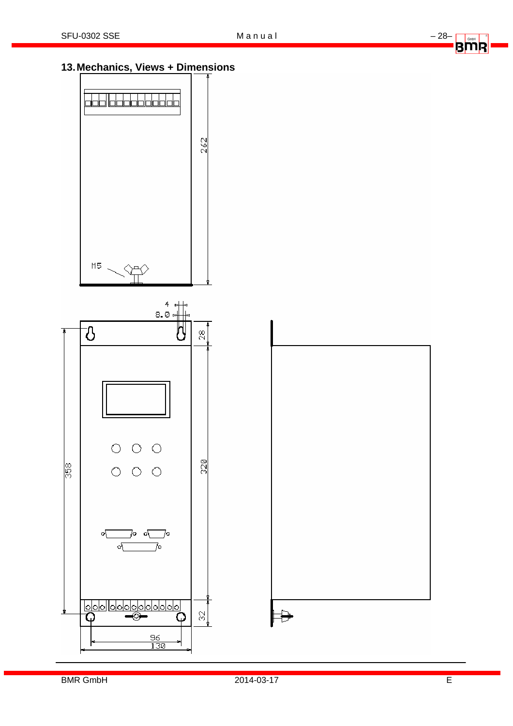

# **13. Mechanics, Views + Dimensions**

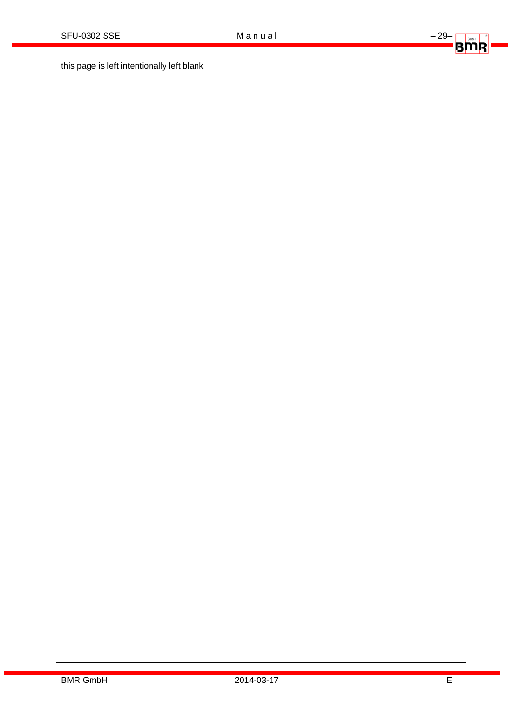

this page is left intentionally left blank